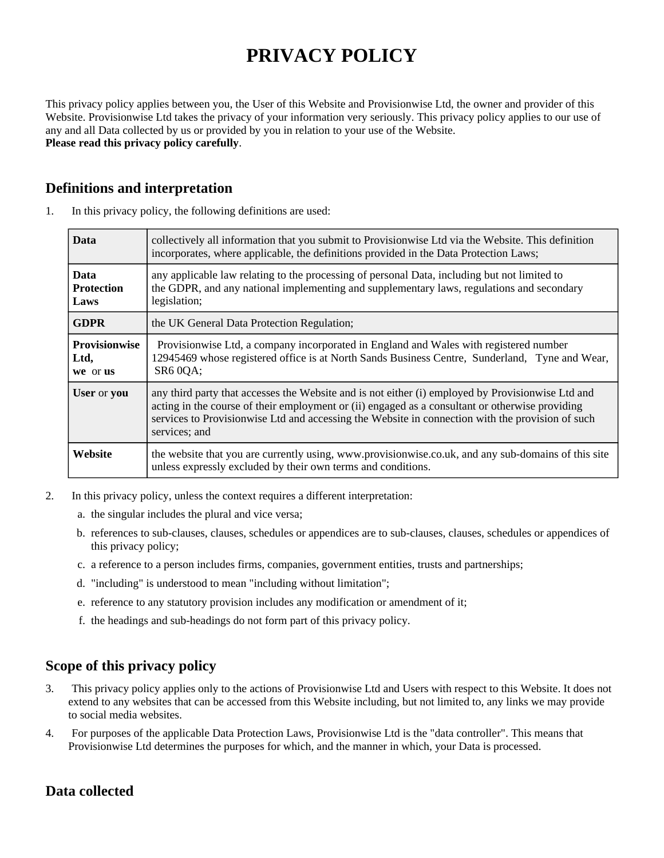# **PRIVACY POLICY**

This privacy policy applies between you, the User of this Website and Provisionwise Ltd, the owner and provider of this Website. Provisionwise Ltd takes the privacy of your information very seriously. This privacy policy applies to our use of any and all Data collected by us or provided by you in relation to your use of the Website. **Please read this privacy policy carefully**.

# **Definitions and interpretation**

| <b>Data</b>                              | collectively all information that you submit to Provisionwise Ltd via the Website. This definition<br>incorporates, where applicable, the definitions provided in the Data Protection Laws;                                                                                                                               |
|------------------------------------------|---------------------------------------------------------------------------------------------------------------------------------------------------------------------------------------------------------------------------------------------------------------------------------------------------------------------------|
| <b>Data</b><br><b>Protection</b><br>Laws | any applicable law relating to the processing of personal Data, including but not limited to<br>the GDPR, and any national implementing and supplementary laws, regulations and secondary<br>legislation;                                                                                                                 |
| <b>GDPR</b>                              | the UK General Data Protection Regulation;                                                                                                                                                                                                                                                                                |
| <b>Provisionwise</b><br>Ltd,<br>we or us | Provisionwise Ltd, a company incorporated in England and Wales with registered number<br>12945469 whose registered office is at North Sands Business Centre, Sunderland, Tyne and Wear,<br><b>SR6 0QA;</b>                                                                                                                |
| User or you                              | any third party that accesses the Website and is not either (i) employed by Provisionwise Ltd and<br>acting in the course of their employment or (ii) engaged as a consultant or otherwise providing<br>services to Provisionwise Ltd and accessing the Website in connection with the provision of such<br>services; and |
| <b>Website</b>                           | the website that you are currently using, www.provisionwise.co.uk, and any sub-domains of this site<br>unless expressly excluded by their own terms and conditions.                                                                                                                                                       |

1. In this privacy policy, the following definitions are used:

- 2. In this privacy policy, unless the context requires a different interpretation:
	- a. the singular includes the plural and vice versa;
	- b. references to sub-clauses, clauses, schedules or appendices are to sub-clauses, clauses, schedules or appendices of this privacy policy;
	- c. a reference to a person includes firms, companies, government entities, trusts and partnerships;
	- d. "including" is understood to mean "including without limitation";
	- e. reference to any statutory provision includes any modification or amendment of it;
	- f. the headings and sub-headings do not form part of this privacy policy.

# **Scope of this privacy policy**

- 3. This privacy policy applies only to the actions of Provisionwise Ltd and Users with respect to this Website. It does not extend to any websites that can be accessed from this Website including, but not limited to, any links we may provide to social media websites.
- 4. For purposes of the applicable Data Protection Laws, Provisionwise Ltd is the "data controller". This means that Provisionwise Ltd determines the purposes for which, and the manner in which, your Data is processed.

# **Data collected**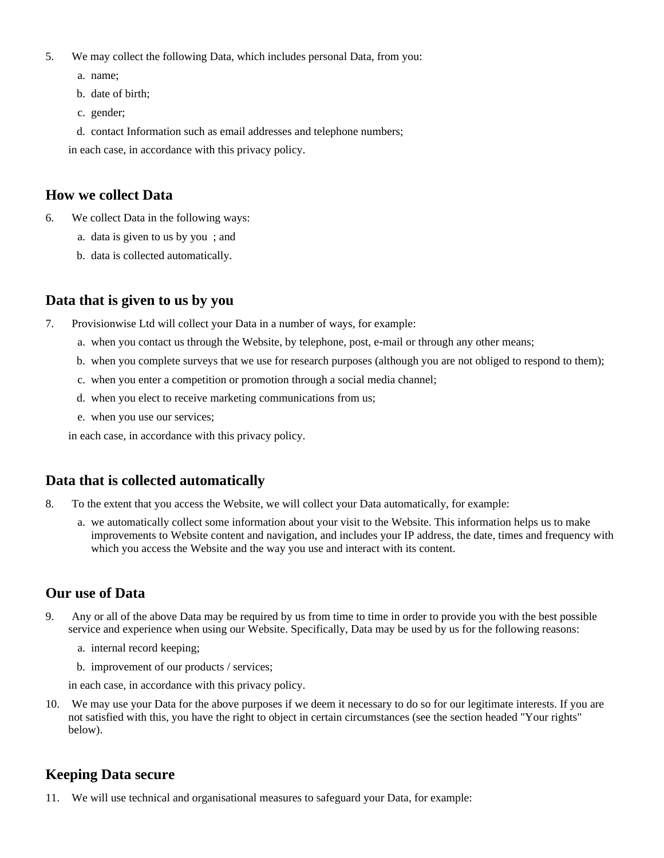- 5. We may collect the following Data, which includes personal Data, from you:
	- a. name;
	- b. date of birth;
	- c. gender;
	- d. contact Information such as email addresses and telephone numbers;

in each case, in accordance with this privacy policy.

# **How we collect Data**

- 6. We collect Data in the following ways:
	- a. data is given to us by you ; and
	- b. data is collected automatically.

# **Data that is given to us by you**

- 7. Provisionwise Ltd will collect your Data in a number of ways, for example:
	- a. when you contact us through the Website, by telephone, post, e-mail or through any other means;
	- b. when you complete surveys that we use for research purposes (although you are not obliged to respond to them);
	- c. when you enter a competition or promotion through a social media channel;
	- d. when you elect to receive marketing communications from us;
	- e. when you use our services;

in each case, in accordance with this privacy policy.

# **Data that is collected automatically**

- 8. To the extent that you access the Website, we will collect your Data automatically, for example:
	- a. we automatically collect some information about your visit to the Website. This information helps us to make improvements to Website content and navigation, and includes your IP address, the date, times and frequency with which you access the Website and the way you use and interact with its content.

# **Our use of Data**

- 9. Any or all of the above Data may be required by us from time to time in order to provide you with the best possible service and experience when using our Website. Specifically, Data may be used by us for the following reasons:
	- a. internal record keeping;
	- b. improvement of our products / services;

in each case, in accordance with this privacy policy.

10. We may use your Data for the above purposes if we deem it necessary to do so for our legitimate interests. If you are not satisfied with this, you have the right to object in certain circumstances (see the section headed "Your rights" below).

# **Keeping Data secure**

11. We will use technical and organisational measures to safeguard your Data, for example: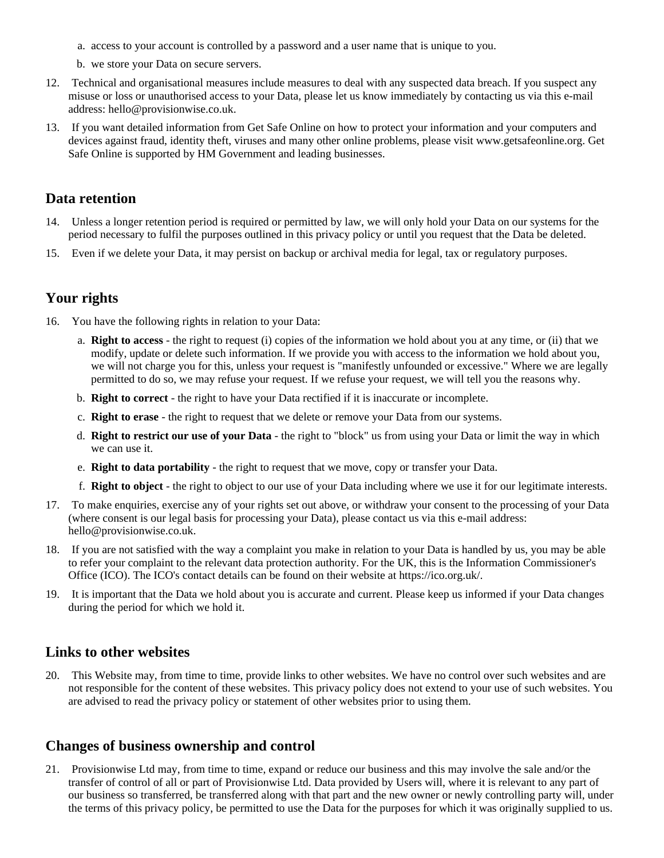- a. access to your account is controlled by a password and a user name that is unique to you.
- b. we store your Data on secure servers.
- 12. Technical and organisational measures include measures to deal with any suspected data breach. If you suspect any misuse or loss or unauthorised access to your Data, please let us know immediately by contacting us via this e-mail address: hello@provisionwise.co.uk.
- 13. If you want detailed information from Get Safe Online on how to protect your information and your computers and devices against fraud, identity theft, viruses and many other online problems, please visit www.getsafeonline.org. Get Safe Online is supported by HM Government and leading businesses.

#### **Data retention**

- 14. Unless a longer retention period is required or permitted by law, we will only hold your Data on our systems for the period necessary to fulfil the purposes outlined in this privacy policy or until you request that the Data be deleted.
- 15. Even if we delete your Data, it may persist on backup or archival media for legal, tax or regulatory purposes.

## **Your rights**

- 16. You have the following rights in relation to your Data:
	- a. **Right to access** the right to request (i) copies of the information we hold about you at any time, or (ii) that we modify, update or delete such information. If we provide you with access to the information we hold about you, we will not charge you for this, unless your request is "manifestly unfounded or excessive." Where we are legally permitted to do so, we may refuse your request. If we refuse your request, we will tell you the reasons why.
	- b. **Right to correct** the right to have your Data rectified if it is inaccurate or incomplete.
	- c. **Right to erase** the right to request that we delete or remove your Data from our systems.
	- d. **Right to restrict our use of your Data** the right to "block" us from using your Data or limit the way in which we can use it.
	- e. **Right to data portability** the right to request that we move, copy or transfer your Data.
	- f. **Right to object** the right to object to our use of your Data including where we use it for our legitimate interests.
- 17. To make enquiries, exercise any of your rights set out above, or withdraw your consent to the processing of your Data (where consent is our legal basis for processing your Data), please contact us via this e-mail address: hello@provisionwise.co.uk.
- 18. If you are not satisfied with the way a complaint you make in relation to your Data is handled by us, you may be able to refer your complaint to the relevant data protection authority. For the UK, this is the Information Commissioner's Office (ICO). The ICO's contact details can be found on their website at https://ico.org.uk/.
- 19. It is important that the Data we hold about you is accurate and current. Please keep us informed if your Data changes during the period for which we hold it.

#### **Links to other websites**

20. This Website may, from time to time, provide links to other websites. We have no control over such websites and are not responsible for the content of these websites. This privacy policy does not extend to your use of such websites. You are advised to read the privacy policy or statement of other websites prior to using them.

## **Changes of business ownership and control**

21. Provisionwise Ltd may, from time to time, expand or reduce our business and this may involve the sale and/or the transfer of control of all or part of Provisionwise Ltd. Data provided by Users will, where it is relevant to any part of our business so transferred, be transferred along with that part and the new owner or newly controlling party will, under the terms of this privacy policy, be permitted to use the Data for the purposes for which it was originally supplied to us.